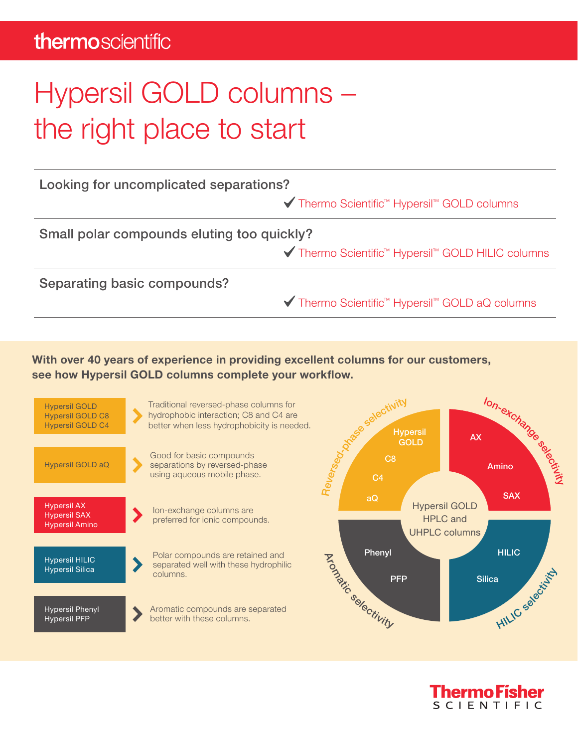## thermoscientific

## Hypersil GOLD columns – the right place to start

| Looking for uncomplicated separations?     |                                                                            |  |  |  |  |
|--------------------------------------------|----------------------------------------------------------------------------|--|--|--|--|
|                                            | <b>V</b> Thermo Scientific <sup>™</sup> Hypersil <sup>™</sup> GOLD columns |  |  |  |  |
| Small polar compounds eluting too quickly? |                                                                            |  |  |  |  |
|                                            | <b>√</b> Thermo Scientific <sup>™</sup> Hypersil™ GOLD HILIC columns       |  |  |  |  |
| Separating basic compounds?                |                                                                            |  |  |  |  |
|                                            | <b>V</b> Thermo Scientific <sup>™</sup> Hypersil™ GOLD aQ columns          |  |  |  |  |

With over 40 years of experience in providing excellent columns for our customers, see how Hypersil GOLD columns complete your workflow.



**Thermo Fisher SCIENTIFIC**